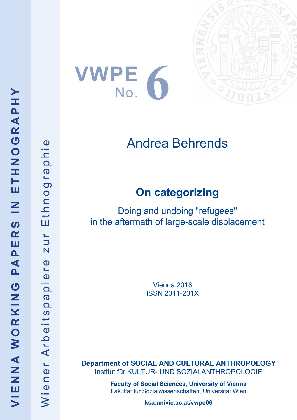







# Andrea Behrends

## **On categorizing**

Doing and undoing "refugees" in the aftermath of large-scale displacement

> Vienna 2018 ISSN 2311-231X

**Department of SOCIAL AND CULTURAL ANTHROPOLOGY** Institut für KULTUR- UND SOZIALANTHROPOLOGIE

> **Faculty of Social Sciences, University of Vienna** Fakultät für Sozialwissenschaften, Universität Wien

> > **ksa.univie.ac.at/vwpe06**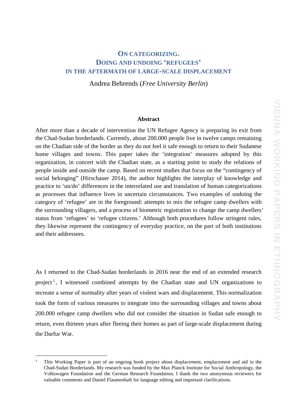## **ON CATEGORIZING. DOING AND UNDOING 'REFUGEES' IN THE AFTERMATH OF LARGE-SCALE DISPLACEMENT**

Andrea Behrends (*Free University Berlin*)

#### **Abstract**

After more than a decade of intervention the UN Refugee Agency is preparing its exit from the Chad-Sudan borderlands. Currently, about 200.000 people live in twelve camps remaining on the Chadian side of the border as they do not feel it safe enough to return to their Sudanese home villages and towns. This paper takes the 'integration' measures adopted by this organization, in concert with the Chadian state, as a starting point to study the relations of people inside and outside the camp. Based on recent studies that focus on the "contingency of social belonging" (Hirschauer 2014), the author highlights the interplay of knowledge and practice to 'un/do' differences in the interrelated use and translation of human categorizations as processes that influence lives in uncertain circumstances. Two examples of undoing the category of 'refugee' are in the foreground: attempts to mix the refugee camp dwellers with the surrounding villagers, and a process of biometric registration to change the camp dwellers' status from 'refugees' to 'refugee citizens.' Although both procedures follow stringent rules, they likewise represent the contingency of everyday practice, on the part of both institutions and their addressees.

As I returned to the Chad-Sudan borderlands in 2016 near the end of an extended research project<sup>[1](#page-1-0)</sup>, I witnessed combined attempts by the Chadian state and UN organizations to recreate a sense of normality after years of violent wars and displacement. This normalization took the form of various measures to integrate into the surrounding villages and towns about 200.000 refugee camp dwellers who did not consider the situation in Sudan safe enough to return, even thirteen years after fleeing their homes as part of large-scale displacement during the Darfur War.

<span id="page-1-0"></span><sup>&</sup>lt;sup>1</sup> This Working Paper is part of an ongoing book project about displacement, emplacement and aid in the Chad-Sudan Borderlands. My research was funded by the Max Planck Institute for Social Anthropology, the Volkswagen Foundation and the German Research Foundation. I thank the two anonymous reviewers for valuable comments and Daniel Flaumenhaft for language editing and important clarifications.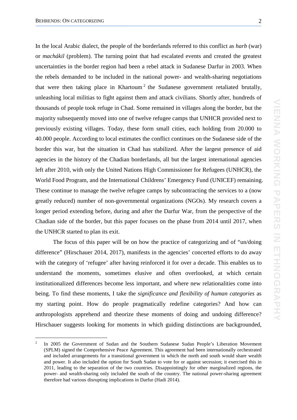In the local Arabic dialect, the people of the borderlands referred to this conflict as *harb* (war) or *machákil* (problem). The turning point that had escalated events and created the greatest uncertainties in the border region had been a rebel attack in Sudanese Darfur in 2003. When the rebels demanded to be included in the national power- and wealth-sharing negotiations that were then taking place in Khartoum<sup>[2](#page-2-0)</sup> the Sudanese government retaliated brutally, unleashing local militias to fight against them and attack civilians. Shortly after, hundreds of thousands of people took refuge in Chad. Some remained in villages along the border, but the majority subsequently moved into one of twelve refugee camps that UNHCR provided next to previously existing villages. Today, these form small cities, each holding from 20.000 to 40.000 people. According to local estimates the conflict continues on the Sudanese side of the border this war, but the situation in Chad has stabilized. After the largest presence of aid agencies in the history of the Chadian borderlands, all but the largest international agencies left after 2010, with only the United Nations High Commissioner for Refugees (UNHCR), the World Food Program, and the International Childrens' Emergency Fund (UNICEF) remaining. These continue to manage the twelve refugee camps by subcontracting the services to a (now greatly reduced) number of non-governmental organizations (NGOs). My research covers a longer period extending before, during and after the Darfur War, from the perspective of the Chadian side of the border, but this paper focuses on the phase from 2014 until 2017, when the UNHCR started to plan its exit.

The focus of this paper will be on how the practice of categorizing and of "un/doing difference" (Hirschauer 2014, 2017), manifests in the agencies' concerted efforts to do away with the category of 'refugee' after having reinforced it for over a decade. This enables us to understand the moments, sometimes elusive and often overlooked, at which certain institutionalized differences become less important, and where new relationalities come into being. To find these moments, I take the *significance and flexibility of human categories* as my starting point. How do people pragmatically redefine categories? And how can anthropologists apprehend and theorize these moments of doing and undoing difference? Hirschauer suggests looking for moments in which guiding distinctions are backgrounded,

<span id="page-2-0"></span><sup>&</sup>lt;sup>2</sup> In 2005 the Government of Sudan and the Southern Sudanese Sudan People's Liberation Movement (SPLM) signed the Comprehensive Peace Agreement. This agreement had been internationally orchestrated and included arrangements for a transitional government in which the north and south would share wealth and power. It also included the option for South Sudan to vote for or against secession; it exercised this in 2011, leading to the separation of the two countries. Disappointingly for other marginalized regions, the power- and wealth-sharing only included the south of the country. The national power-sharing agreement therefore had various disrupting implications in Darfur (Hadi 2014).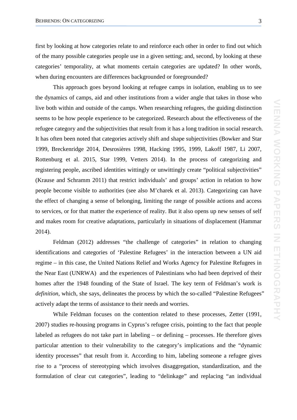first by looking at how categories relate to and reinforce each other in order to find out which of the many possible categories people use in a given setting; and, second, by looking at these categories' temporality, at what moments certain categories are updated? In other words, when during encounters are differences backgrounded or foregrounded?

This approach goes beyond looking at refugee camps in isolation, enabling us to see the dynamics of camps, aid and other institutions from a wider angle that takes in those who live both within and outside of the camps. When researching refugees, the guiding distinction seems to be how people experience to be categorized. Research about the effectiveness of the refugee category and the subjectivities that result from it has a long tradition in social research. It has often been noted that categories actively shift and shape subjectivities (Bowker and Star 1999, Breckenridge 2014, Desrosières 1998, Hacking 1995, 1999, Lakoff 1987, Li 2007, Rottenburg et al. 2015, Star 1999, Vetters 2014). In the process of categorizing and registering people, ascribed identities wittingly or unwittingly create "political subjectivities" (Krause and Schramm 2011) that restrict individuals' and groups' action in relation to how people become visible to authorities (see also M'charek et al. 2013). Categorizing can have the effect of changing a sense of belonging, limiting the range of possible actions and access to services, or for that matter the experience of reality. But it also opens up new senses of self and makes room for creative adaptations, particularly in situations of displacement (Hammar 2014).

Feldman (2012) addresses "the challenge of categories" in relation to changing identifications and categories of 'Palestine Refugees' in the interaction between a UN aid regime – in this case, the United Nations Relief and Works Agency for Palestine Refugees in the Near East (UNRWA) and the experiences of Palestinians who had been deprived of their homes after the 1948 founding of the State of Israel. The key term of Feldman's work is *definition*, which, she says, delineates the process by which the so-called "Palestine Refugees" actively adapt the terms of assistance to their needs and worries.

While Feldman focuses on the contention related to these processes, Zetter (1991, 2007) studies re-housing programs in Cyprus's refugee crisis, pointing to the fact that people labeled as refugees do not take part in labeling – or defining – processes. He therefore gives particular attention to their vulnerability to the category's implications and the "dynamic identity processes" that result from it. According to him, labeling someone a refugee gives rise to a "process of stereotyping which involves disaggregation, standardization, and the formulation of clear cut categories", leading to "delinkage" and replacing "an individual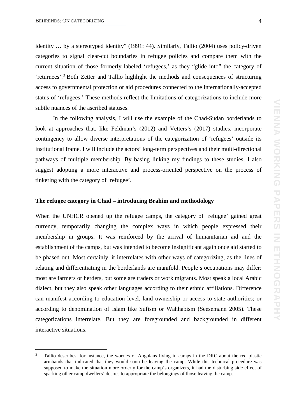identity … by a stereotyped identity" (1991: 44). Similarly, Tallio (2004) uses policy-driven categories to signal clear-cut boundaries in refugee policies and compare them with the current situation of those formerly labeled 'refugees,' as they "glide into" the category of 'returnees'. [3](#page-4-0) Both Zetter and Tallio highlight the methods and consequences of structuring access to governmental protection or aid procedures connected to the internationally-accepted status of 'refugees.' These methods reflect the limitations of categorizations to include more subtle nuances of the ascribed statuses.

In the following analysis, I will use the example of the Chad-Sudan borderlands to look at approaches that, like Feldman's (2012) and Vetters's (2017) studies, incorporate contingency to allow diverse interpretations of the categorization of 'refugees' outside its institutional frame. I will include the actors' long-term perspectives and their multi-directional pathways of multiple membership. By basing linking my findings to these studies, I also suggest adopting a more interactive and process-oriented perspective on the process of tinkering with the category of 'refugee'.

#### **The refugee category in Chad – introducing Brahim and methodology**

When the UNHCR opened up the refugee camps, the category of 'refugee' gained great currency, temporarily changing the complex ways in which people expressed their membership in groups. It was reinforced by the arrival of humanitarian aid and the establishment of the camps, but was intended to become insignificant again once aid started to be phased out. Most certainly, it interrelates with other ways of categorizing, as the lines of relating and differentiating in the borderlands are manifold. People's occupations may differ: most are farmers or herders, but some are traders or work migrants. Most speak a local Arabic dialect, but they also speak other languages according to their ethnic affiliations. Difference can manifest according to education level, land ownership or access to state authorities; or according to denomination of Islam like Sufism or Wahhabism (Seesemann 2005). These categorizations interrelate. But they are foregrounded and backgrounded in different interactive situations.

<span id="page-4-0"></span> <sup>3</sup> Tallio describes, for instance, the worries of Angolans living in camps in the DRC about the red plastic armbands that indicated that they would soon be leaving the camp. While this technical procedure was supposed to make the situation more orderly for the camp's organizers, it had the disturbing side effect of sparking other camp dwellers' desires to appropriate the belongings of those leaving the camp.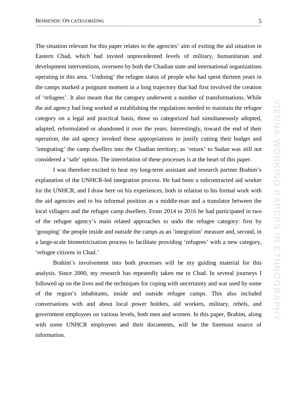The situation relevant for this paper relates to the agencies' aim of exiting the aid situation in Eastern Chad, which had invited unprecedented levels of military, humanitarian and development interventions, overseen by both the Chadian state and international organizations operating in this area. 'Undoing' the refugee status of people who had spent thirteen years in the camps marked a poignant moment in a long trajectory that had first involved the creation of 'refugees'. It also meant that the category underwent a number of transformations. While the aid agency had long worked at establishing the regulations needed to maintain the refugee category on a legal and practical basis, those so categorized had simultaneously adopted, adapted, reformulated or abandoned it over the years. Interestingly, toward the end of their operation, the aid agency invoked these appropriations to justify cutting their budget and 'integrating' the camp dwellers into the Chadian territory, as 'return' to Sudan was still not considered a 'safe' option. The interrelation of these processes is at the heart of this paper.

I was therefore excited to hear my long-term assistant and research partner Brahim's explanation of the UNHCR-led integration process. He had been a subcontracted aid worker for the UNHCR, and I draw here on his experiences, both in relation to his formal work with the aid agencies and to his informal position as a middle-man and a translator between the local villagers and the refugee camp dwellers. From 2014 to 2016 he had participated in two of the refugee agency's main related approaches to undo the refugee category: first by 'grouping' the people inside and outside the camps as an 'integration' measure and, second, in a large-scale biometricisation process to facilitate providing 'refugees' with a new category, 'refugee citizens in Chad.'

Brahim's involvement into both processes will be my guiding material for this analysis. Since 2000, my research has repeatedly taken me to Chad. In several journeys I followed up on the lives and the techniques for coping with uncertainty and war used by some of the region's inhabitants, inside and outside refugee camps. This also included conversations with and about local power holders, aid workers, military, rebels, and government employees on various levels, both men and women. In this paper, Brahim, along with some UNHCR employees and their documents, will be the foremost source of information.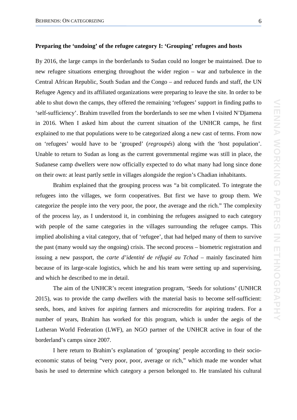**VIENNA WORKING PAPERS IN ETHNOGRAPHY**NIENNA WORKING PAPERS IN ETHNOGRAPHY

#### **Preparing the 'undoing' of the refugee category I: 'Grouping' refugees and hosts**

By 2016, the large camps in the borderlands to Sudan could no longer be maintained. Due to new refugee situations emerging throughout the wider region – war and turbulence in the Central African Republic, South Sudan and the Congo – and reduced funds and staff, the UN Refugee Agency and its affiliated organizations were preparing to leave the site. In order to be able to shut down the camps, they offered the remaining 'refugees' support in finding paths to 'self-sufficiency'. Brahim travelled from the borderlands to see me when I visited N'Djamena in 2016. When I asked him about the current situation of the UNHCR camps, he first explained to me that populations were to be categorized along a new cast of terms. From now on 'refugees' would have to be 'grouped' (*regroupés*) along with the 'host population'. Unable to return to Sudan as long as the current governmental regime was still in place, the Sudanese camp dwellers were now officially expected to do what many had long since done on their own: at least partly settle in villages alongside the region's Chadian inhabitants.

Brahim explained that the grouping process was "a bit complicated. To integrate the refugees into the villages, we form cooperatives. But first we have to group them. We categorize the people into the very poor, the poor, the average and the rich." The complexity of the process lay, as I understood it, in combining the refugees assigned to each category with people of the same categories in the villages surrounding the refugee camps. This implied abolishing a vital category, that of 'refugee', that had helped many of them to survive the past (many would say the ongoing) crisis. The second process – biometric registration and issuing a new passport, the *carte d'identité de réfugié au Tchad* – mainly fascinated him because of its large-scale logistics, which he and his team were setting up and supervising, and which he described to me in detail.

The aim of the UNHCR's recent integration program, 'Seeds for solutions' (UNHCR 2015), was to provide the camp dwellers with the material basis to become self-sufficient: seeds, hoes, and knives for aspiring farmers and microcredits for aspiring traders. For a number of years, Brahim has worked for this program, which is under the aegis of the Lutheran World Federation (LWF), an NGO partner of the UNHCR active in four of the borderland's camps since 2007.

I here return to Brahim's explanation of 'grouping' people according to their socioeconomic status of being "very poor, poor, average or rich," which made me wonder what basis he used to determine which category a person belonged to. He translated his cultural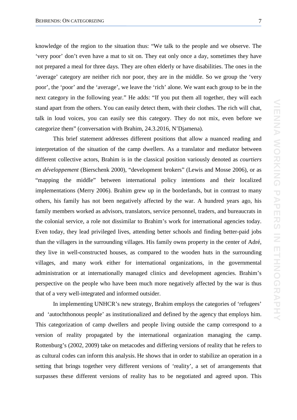knowledge of the region to the situation thus: "We talk to the people and we observe. The 'very poor' don't even have a mat to sit on. They eat only once a day, sometimes they have not prepared a meal for three days. They are often elderly or have disabilities. The ones in the 'average' category are neither rich nor poor, they are in the middle. So we group the 'very poor', the 'poor' and the 'average', we leave the 'rich' alone. We want each group to be in the next category in the following year." He adds: "If you put them all together, they will each stand apart from the others. You can easily detect them, with their clothes. The rich will chat, talk in loud voices, you can easily see this category. They do not mix, even before we categorize them" (conversation with Brahim, 24.3.2016, N'Djamena).

This brief statement addresses different positions that allow a nuanced reading and interpretation of the situation of the camp dwellers. As a translator and mediator between different collective actors, Brahim is in the classical position variously denoted as *courtiers en développement* (Bierschenk 2000), "development brokers" (Lewis and Mosse 2006), or as "mapping the middle" between international policy intentions and their localized implementations (Merry 2006). Brahim grew up in the borderlands, but in contrast to many others, his family has not been negatively affected by the war. A hundred years ago, his family members worked as advisors, translators, service personnel, traders, and bureaucrats in the colonial service, a role not dissimilar to Brahim's work for international agencies today. Even today, they lead privileged lives, attending better schools and finding better-paid jobs than the villagers in the surrounding villages. His family owns property in the center of Adré, they live in well-constructed houses, as compared to the wooden huts in the surrounding villages, and many work either for international organizations, in the governmental administration or at internationally managed clinics and development agencies. Brahim's perspective on the people who have been much more negatively affected by the war is thus that of a very well-integrated and informed outsider.

In implementing UNHCR's new strategy, Brahim employs the categories of 'refugees' and 'autochthonous people' as institutionalized and defined by the agency that employs him. This categorization of camp dwellers and people living outside the camp correspond to a version of reality propagated by the international organization managing the camp. Rottenburg's (2002, 2009) take on metacodes and differing versions of reality that he refers to as cultural codes can inform this analysis. He shows that in order to stabilize an operation in a setting that brings together very different versions of 'reality', a set of arrangements that surpasses these different versions of reality has to be negotiated and agreed upon. This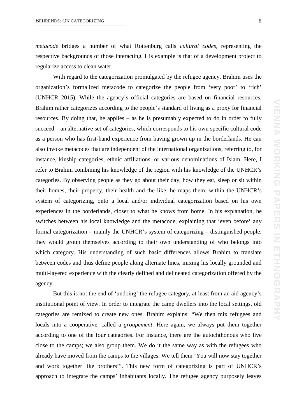*metacode* bridges a number of what Rottenburg calls *cultural codes,* representing the respective backgrounds of those interacting. His example is that of a development project to regularize access to clean water.

With regard to the categorization promulgated by the refugee agency, Brahim uses the organization's formalized metacode to categorize the people from 'very poor' to 'rich' (UNHCR 2015). While the agency's official categories are based on financial resources, Brahim rather categorizes according to the people's standard of living as a proxy for financial resources. By doing that, he applies – as he is presumably expected to do in order to fully succeed – an alternative set of categories, which corresponds to his own specific cultural code as a person who has first-hand experience from having grown up in the borderlands. He can also invoke metacodes that are independent of the international organizations, referring to, for instance, kinship categories, ethnic affiliations, or various denominations of Islam. Here, I refer to Brahim combining his knowledge of the region with his knowledge of the UNHCR's categories. By observing people as they go about their day, how they eat, sleep or sit within their homes, their property, their health and the like, he maps them, within the UNHCR's system of categorizing, onto a local and/or individual categorization based on his own experiences in the borderlands, closer to what he knows from home. In his explanation, he switches between his local knowledge and the metacode, explaining that 'even before' any formal categorization – mainly the UNHCR's system of categorizing – distinguished people, they would group themselves according to their own understanding of who belongs into which category. His understanding of such basic differences allows Brahim to translate between codes and thus define people along alternate lines, mixing his locally grounded and multi-layered experience with the clearly defined and delineated categorization offered by the agency.

But this is not the end of 'undoing' the refugee category, at least from an aid agency's institutional point of view. In order to integrate the camp dwellers into the local settings, old categories are remixed to create new ones. Brahim explains: "We then mix refugees and locals into a cooperative, called a *groupement*. Here again, we always put them together according to one of the four categories. For instance, there are the autochthonous who live close to the camps; we also group them. We do it the same way as with the refugees who already have moved from the camps to the villages. We tell them 'You will now stay together and work together like brothers'". This new form of categorizing is part of UNHCR's approach to integrate the camps' inhabitants locally. The refugee agency purposely leaves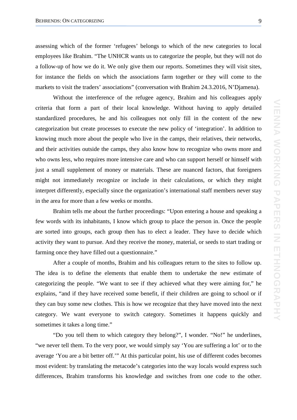assessing which of the former 'refugees' belongs to which of the new categories to local employees like Brahim. "The UNHCR wants us to categorize the people, but they will not do a follow-up of how we do it. We only give them our reports. Sometimes they will visit sites, for instance the fields on which the associations farm together or they will come to the markets to visit the traders' associations" (conversation with Brahim 24.3.2016, N'Djamena).

Without the interference of the refugee agency, Brahim and his colleagues apply criteria that form a part of their local knowledge. Without having to apply detailed standardized procedures, he and his colleagues not only fill in the content of the new categorization but create processes to execute the new policy of 'integration'. In addition to knowing much more about the people who live in the camps, their relatives, their networks, and their activities outside the camps, they also know how to recognize who owns more and who owns less, who requires more intensive care and who can support herself or himself with just a small supplement of money or materials. These are nuanced factors, that foreigners might not immediately recognize or include in their calculations, or which they might interpret differently, especially since the organization's international staff members never stay in the area for more than a few weeks or months.

Brahim tells me about the further proceedings: "Upon entering a house and speaking a few words with its inhabitants, I know which group to place the person in. Once the people are sorted into groups, each group then has to elect a leader. They have to decide which activity they want to pursue. And they receive the money, material, or seeds to start trading or farming once they have filled out a questionnaire."

After a couple of months, Brahim and his colleagues return to the sites to follow up. The idea is to define the elements that enable them to undertake the new estimate of categorizing the people. "We want to see if they achieved what they were aiming for," he explains, "and if they have received some benefit, if their children are going to school or if they can buy some new clothes. This is how we recognize that they have moved into the next category. We want everyone to switch category. Sometimes it happens quickly and sometimes it takes a long time."

"Do you tell them to which category they belong?", I wonder. "No!" he underlines, "we never tell them. To the very poor, we would simply say 'You are suffering a lot' or to the average 'You are a bit better off.'" At this particular point, his use of different codes becomes most evident: by translating the metacode's categories into the way locals would express such differences, Brahim transforms his knowledge and switches from one code to the other.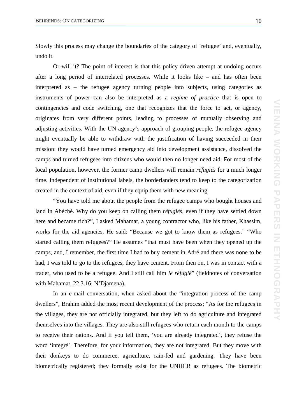Slowly this process may change the boundaries of the category of 'refugee' and, eventually, undo it.

Or will it? The point of interest is that this policy-driven attempt at undoing occurs after a long period of interrelated processes. While it looks like – and has often been interpreted as – the refugee agency turning people into subjects, using categories as instruments of power can also be interpreted as a *regime of practice* that is open to contingencies and code switching, one that recognizes that the force to act, or agency, originates from very different points, leading to processes of mutually observing and adjusting activities. With the UN agency's approach of grouping people, the refugee agency might eventually be able to withdraw with the justification of having succeeded in their mission: they would have turned emergency aid into development assistance, dissolved the camps and turned refugees into citizens who would then no longer need aid. For most of the local population, however, the former camp dwellers will remain *réfugiés* for a much longer time. Independent of institutional labels, the borderlanders tend to keep to the categorization created in the context of aid, even if they equip them with new meaning.

"You have told me about the people from the refugee camps who bought houses and land in Abéché. Why do you keep on calling them *réfugiés*, even if they have settled down here and became rich?", I asked Mahamat, a young contractor who, like his father, Khassim, works for the aid agencies. He said: "Because we got to know them as refugees." "Who started calling them refugees?" He assumes "that must have been when they opened up the camps, and, I remember, the first time I had to buy cement in Adré and there was none to be had, I was told to go to the refugees, they have cement. From then on, I was in contact with a trader, who used to be a refugee. And I still call him *le réfugié*" (fieldnotes of conversation with Mahamat, 22.3.16, N'Djamena).

In an e-mail conversation, when asked about the "integration process of the camp dwellers", Brahim added the most recent development of the process: "As for the refugees in the villages, they are not officially integrated, but they left to do agriculture and integrated themselves into the villages. They are also still refugees who return each month to the camps to receive their rations. And if you tell them, 'you are already integrated', they refuse the word 'integré'. Therefore, for your information, they are not integrated. But they move with their donkeys to do commerce, agriculture, rain-fed and gardening. They have been biometrically registered; they formally exist for the UNHCR as refugees. The biometric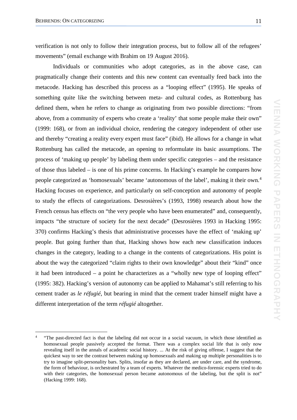verification is not only to follow their integration process, but to follow all of the refugees' movements" (email exchange with Brahim on 19 August 2016).

Individuals or communities who adopt categories, as in the above case, can pragmatically change their contents and this new content can eventually feed back into the metacode. Hacking has described this process as a "looping effect" (1995). He speaks of something quite like the switching between meta- and cultural codes, as Rottenburg has defined them, when he refers to change as originating from two possible directions: "from above, from a community of experts who create a 'reality' that some people make their own" (1999: 168), or from an individual choice, rendering the category independent of other use and thereby "creating a reality every expert must face" (ibid). He allows for a change in what Rottenburg has called the metacode, an opening to reformulate its basic assumptions. The process of 'making up people' by labeling them under specific categories – and the resistance of those thus labeled – is one of his prime concerns. In Hacking's example he compares how people categorized as 'homosexuals' became 'autonomous of the label', making it their own.[4](#page-11-0) Hacking focuses on experience, and particularly on self-conception and autonomy of people to study the effects of categorizations. Desrosières's (1993, 1998) research about how the French census has effects on "the very people who have been enumerated" and, consequently, impacts "the structure of society for the next decade" (Desrosières 1993 in Hacking 1995: 370) confirms Hacking's thesis that administrative processes have the effect of 'making up' people. But going further than that, Hacking shows how each new classification induces changes in the category, leading to a change in the contents of categorizations. His point is about the way the categorized "claim rights to their own knowledge" about their "kind" once it had been introduced – a point he characterizes as a "wholly new type of looping effect" (1995: 382). Hacking's version of autonomy can be applied to Mahamat's still referring to his cement trader as *le réfugié*, but bearing in mind that the cement trader himself might have a different interpretation of the term *réfugié* altogether.

<span id="page-11-0"></span> <sup>4</sup> "The past-directed fact is that the labeling did not occur in a social vacuum, in which those identified as homosexual people passively accepted the format. There was a complex social life that is only now revealing itself in the annals of academic social history. ... At the risk of giving offense, I suggest that the quickest way to see the contrast between making up homosexuals and making up multiple personalities is to try to imagine split-personality bars. Splits, insofar as they are declared, are under care, and the syndrome, the form of behaviour, is orchestrated by a team of experts. Whatever the medico-forensic experts tried to do with their categories, the homosexual person became autonomous of the labeling, but the split is not" (Hacking 1999: 168).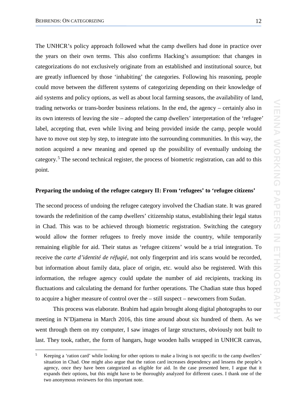The UNHCR's policy approach followed what the camp dwellers had done in practice over the years on their own terms. This also confirms Hacking's assumption: that changes in categorizations do not exclusively originate from an established and institutional source, but are greatly influenced by those 'inhabiting' the categories. Following his reasoning, people could move between the different systems of categorizing depending on their knowledge of aid systems and policy options, as well as about local farming seasons, the availability of land, trading networks or trans-border business relations. In the end, the agency – certainly also in its own interests of leaving the site – adopted the camp dwellers' interpretation of the 'refugee' label, accepting that, even while living and being provided inside the camp, people would have to move out step by step, to integrate into the surrounding communities. In this way, the notion acquired a new meaning and opened up the possibility of eventually undoing the category. [5](#page-12-0) The second technical register, the process of biometric registration, can add to this point.

#### **Preparing the undoing of the refugee category II: From 'refugees' to 'refugee citizens'**

The second process of undoing the refugee category involved the Chadian state. It was geared towards the redefinition of the camp dwellers' citizenship status, establishing their legal status in Chad. This was to be achieved through biometric registration. Switching the category would allow the former refugees to freely move inside the country, while temporarily remaining eligible for aid. Their status as 'refugee citizens' would be a trial integration. To receive the *carte d'identité de réfugié*, not only fingerprint and iris scans would be recorded, but information about family data, place of origin, etc. would also be registered. With this information, the refugee agency could update the number of aid recipients, tracking its fluctuations and calculating the demand for further operations. The Chadian state thus hoped to acquire a higher measure of control over the – still suspect – newcomers from Sudan.

This process was elaborate. Brahim had again brought along digital photographs to our meeting in N'Djamena in March 2016, this time around about six hundred of them. As we went through them on my computer, I saw images of large structures, obviously not built to last. They took, rather, the form of hangars, huge wooden halls wrapped in UNHCR canvas,

<span id="page-12-0"></span> <sup>5</sup> Keeping a 'ration card' while looking for other options to make a living is not specific to the camp dwellers' situation in Chad. One might also argue that the ration card increases dependency and lessens the people's agency, once they have been categorized as eligible for aid. In the case presented here, I argue that it expands their options, but this might have to be thoroughly analyzed for different cases. I thank one of the two anonymous reviewers for this important note.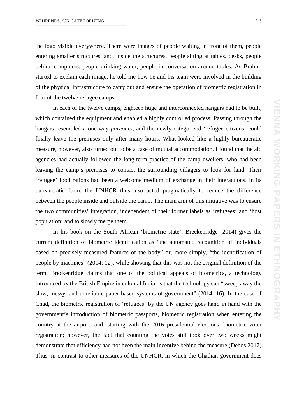the logo visible everywhere. There were images of people waiting in front of them, people entering smaller structures, and, inside the structures, people sitting at tables, desks, people behind computers, people drinking water, people in conversation around tables. As Brahim started to explain each image, he told me how he and his team were involved in the building of the physical infrastructure to carry out and ensure the operation of biometric registration in four of the twelve refugee camps.

In each of the twelve camps, eighteen huge and interconnected hangars had to be built, which contained the equipment and enabled a highly controlled process. Passing through the hangars resembled a one-way *parcours*, and the newly categorized 'refugee citizens' could finally leave the premises only after many hours. What looked like a highly bureaucratic measure, however, also turned out to be a case of mutual accommodation. I found that the aid agencies had actually followed the long-term practice of the camp dwellers, who had been leaving the camp's premises to contact the surrounding villagers to look for land. Their 'refugee' food rations had been a welcome medium of exchange in their interactions. In its bureaucratic form, the UNHCR thus also acted pragmatically to reduce the difference between the people inside and outside the camp. The main aim of this initiative was to ensure the two communities' integration, independent of their former labels as 'refugees' and 'host population' and to slowly merge them.

In his book on the South African 'biometric state', Breckenridge (2014) gives the current definition of biometric identification as "the automated recognition of individuals based on precisely measured features of the body" or, more simply, "the identification of people by machines" (2014: 12), while showing that this was not the original definition of the term. Breckenridge claims that one of the political appeals of biometrics, a technology introduced by the British Empire in colonial India, is that the technology can "sweep away the slow, messy, and unreliable paper-based systems of government" (2014: 16). In the case of Chad, the biometric registration of 'refugees' by the UN agency goes hand in hand with the government's introduction of biometric passports, biometric registration when entering the country at the airport, and, starting with the 2016 presidential elections, biometric voter registration; however, the fact that counting the votes still took over two weeks might demonstrate that efficiency had not been the main incentive behind the measure (Debos 2017). Thus, in contrast to other measures of the UNHCR, in which the Chadian government does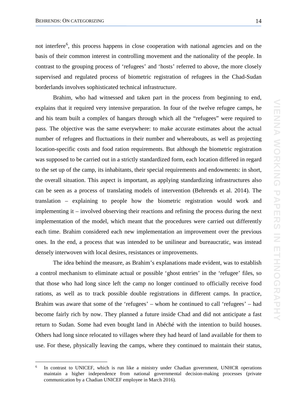not interfere<sup>[6](#page-14-0)</sup>, this process happens in close cooperation with national agencies and on the basis of their common interest in controlling movement and the nationality of the people. In contrast to the grouping process of 'refugees' and 'hosts' referred to above, the more closely supervised and regulated process of biometric registration of refugees in the Chad-Sudan borderlands involves sophisticated technical infrastructure.

Brahim, who had witnessed and taken part in the process from beginning to end, explains that it required very intensive preparation. In four of the twelve refugee camps, he and his team built a complex of hangars through which all the "refugees" were required to pass. The objective was the same everywhere: to make accurate estimates about the actual number of refugees and fluctuations in their number and whereabouts, as well as projecting location-specific costs and food ration requirements. But although the biometric registration was supposed to be carried out in a strictly standardized form, each location differed in regard to the set up of the camp, its inhabitants, their special requirements and endowments: in short, the overall situation. This aspect is important, as applying standardizing infrastructures also can be seen as a process of translating models of intervention (Behrends et al. 2014). The translation – explaining to people how the biometric registration would work and implementing it – involved observing their reactions and refining the process during the next implementation of the model, which meant that the procedures were carried out differently each time. Brahim considered each new implementation an improvement over the previous ones. In the end, a process that was intended to be unilinear and bureaucratic, was instead densely interwoven with local desires, resistances or improvements.

The idea behind the measure, as Brahim's explanations made evident, was to establish a control mechanism to eliminate actual or possible 'ghost entries' in the 'refugee' files, so that those who had long since left the camp no longer continued to officially receive food rations, as well as to track possible double registrations in different camps. In practice, Brahim was aware that some of the 'refugees' – whom he continued to call 'refugees' – had become fairly rich by now. They planned a future inside Chad and did not anticipate a fast return to Sudan. Some had even bought land in Abéché with the intention to build houses. Others had long since relocated to villages where they had heard of land available for them to use. For these, physically leaving the camps, where they continued to maintain their status,

<span id="page-14-0"></span>In contrast to UNICEF, which is run like a ministry under Chadian government, UNHCR operations maintain a higher independence from national governmental decision-making processes (private communication by a Chadian UNICEF employee in March 2016).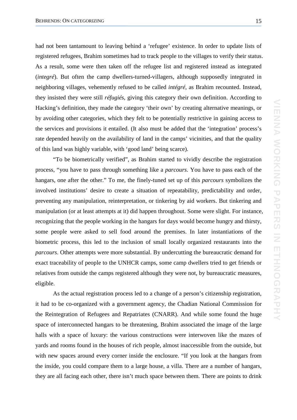had not been tantamount to leaving behind a 'refugee' existence. In order to update lists of registered refugees, Brahim sometimes had to track people to the villages to verify their status. As a result, some were then taken off the refugee list and registered instead as integrated (*integré*). But often the camp dwellers-turned-villagers, although supposedly integrated in neighboring villages, vehemently refused to be called *intégré*, as Brahim recounted. Instead, they insisted they were still *réfugiés*, giving this category their own definition. According to Hacking's definition, they made the category 'their own' by creating alternative meanings, or by avoiding other categories, which they felt to be potentially restrictive in gaining access to the services and provisions it entailed. (It also must be added that the 'integration' process's rate depended heavily on the availability of land in the camps' vicinities, and that the quality of this land was highly variable, with 'good land' being scarce).

"To be biometrically verified", as Brahim started to vividly describe the registration process, "you have to pass through something like a *parcours*. You have to pass each of the hangars, one after the other." To me, the finely-tuned set up of this *parcours* symbolizes the involved institutions' desire to create a situation of repeatability, predictability and order, preventing any manipulation, reinterpretation, or tinkering by aid workers. But tinkering and manipulation (or at least attempts at it) did happen throughout. Some were slight. For instance, recognizing that the people working in the hangars for days would become hungry and thirsty, some people were asked to sell food around the premises. In later instantiations of the biometric process, this led to the inclusion of small locally organized restaurants into the *parcours*. Other attempts were more substantial. By undercutting the bureaucratic demand for exact traceability of people to the UNHCR camps, some camp dwellers tried to get friends or relatives from outside the camps registered although they were not, by bureaucratic measures, eligible.

As the actual registration process led to a change of a person's citizenship registration, it had to be co-organized with a government agency, the Chadian National Commission for the Reintegration of Refugees and Repatriates (CNARR). And while some found the huge space of interconnected hangars to be threatening, Brahim associated the image of the large halls with a space of luxury: the various constructions were interwoven like the mazes of yards and rooms found in the houses of rich people, almost inaccessible from the outside, but with new spaces around every corner inside the enclosure. "If you look at the hangars from the inside, you could compare them to a large house, a villa. There are a number of hangars, they are all facing each other, there isn't much space between them. There are points to drink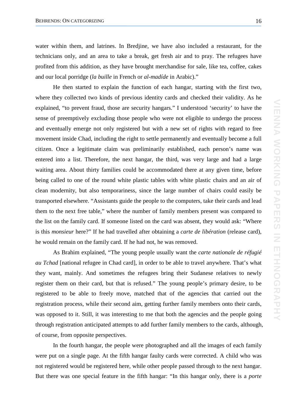water within them, and latrines. In Bredjine, we have also included a restaurant, for the technicians only, and an area to take a break, get fresh air and to pray. The refugees have profited from this addition, as they have brought merchandise for sale, like tea, coffee, cakes and our local porridge (*la buille* in French or *al-madíde* in Arabic)."

He then started to explain the function of each hangar, starting with the first two, where they collected two kinds of previous identity cards and checked their validity. As he explained, "to prevent fraud, those are security hangars." I understood 'security' to have the sense of preemptively excluding those people who were not eligible to undergo the process and eventually emerge not only registered but with a new set of rights with regard to free movement inside Chad, including the right to settle permanently and eventually become a full citizen. Once a legitimate claim was preliminarily established, each person's name was entered into a list. Therefore, the next hangar, the third, was very large and had a large waiting area. About thirty families could be accommodated there at any given time, before being called to one of the round white plastic tables with white plastic chairs and an air of clean modernity, but also temporariness, since the large number of chairs could easily be transported elsewhere. "Assistants guide the people to the computers, take their cards and lead them to the next free table," where the number of family members present was compared to the list on the family card. If someone listed on the card was absent, they would ask: "Where is this *monsieur* here?" If he had travelled after obtaining a *carte de libération* (release card), he would remain on the family card. If he had not, he was removed.

As Brahim explained, "The young people usually want the *carte nationale de réfugié au Tchad* [national refugee in Chad card], in order to be able to travel anywhere. That's what they want, mainly. And sometimes the refugees bring their Sudanese relatives to newly register them on their card, but that is refused." The young people's primary desire, to be registered to be able to freely move, matched that of the agencies that carried out the registration process, while their second aim, getting further family members onto their cards, was opposed to it. Still, it was interesting to me that both the agencies and the people going through registration anticipated attempts to add further family members to the cards, although, of course, from opposite perspectives.

In the fourth hangar, the people were photographed and all the images of each family were put on a single page. At the fifth hangar faulty cards were corrected. A child who was not registered would be registered here, while other people passed through to the next hangar. But there was one special feature in the fifth hangar: "In this hangar only, there is a *porte*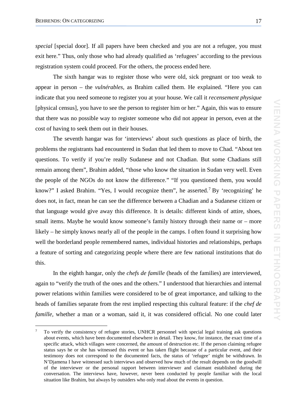*special* [special door]. If all papers have been checked and you are not a refugee, you must exit here." Thus, only those who had already qualified as 'refugees' according to the previous registration system could proceed. For the others, the process ended here.

The sixth hangar was to register those who were old, sick pregnant or too weak to appear in person – the *vulnérables,* as Brahim called them. He explained. "Here you can indicate that you need someone to register you at your house. We call it *recensement physique* [physical census], you have to see the person to register him or her." Again, this was to ensure that there was no possible way to register someone who did not appear in person, even at the cost of having to seek them out in their houses.

The seventh hangar was for 'interviews' about such questions as place of birth, the problems the registrants had encountered in Sudan that led them to move to Chad. "About ten questions. To verify if you're really Sudanese and not Chadian. But some Chadians still remain among them", Brahim added, "those who know the situation in Sudan very well. Even the people of the NGOs do not know the difference." "If you questioned them, you would know?" I asked Brahim. "Yes, I would recognize them", he asserted.<sup>[7](#page-17-0)</sup> By 'recognizing' he does not, in fact, mean he can see the difference between a Chadian and a Sudanese citizen or that language would give away this difference. It is details: different kinds of attire, shoes, small items. Maybe he would know someone's family history through their name or – more likely – he simply knows nearly all of the people in the camps. I often found it surprising how well the borderland people remembered names, individual histories and relationships, perhaps a feature of sorting and categorizing people where there are few national institutions that do this.

In the eighth hangar, only the *chefs de famille* (heads of the families) are interviewed, again to "verify the truth of the ones and the others." I understood that hierarchies and internal power relations within families were considered to be of great importance, and talking to the heads of families separate from the rest implied respecting this cultural feature: if the *chef de famille*, whether a man or a woman, said it, it was considered official. No one could later

<span id="page-17-0"></span> <sup>7</sup> To verify the consistency of refugee stories, UNHCR personnel with special legal training ask questions about events, which have been documented elsewhere in detail. They know, for instance, the exact time of a specific attack, which villages were concerned, the amount of destruction etc. If the person claiming refugee status says he or she has witnessed this event or has taken flight because of a particular event, and their testimony does not correspond to the documented facts, the status of 'refugee' might be withdrawn. In N'Djamena I have witnessed such interviews and observed how much of the result depends on the goodwill of the interviewer or the personal rapport between interviewer and claimant established during the conversation. The interviews have, however, never been conducted by people familiar with the local situation like Brahim, but always by outsiders who only read about the events in question.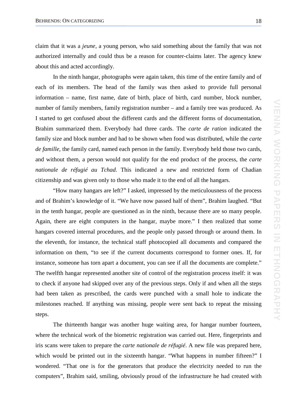claim that it was a *jeune*, a young person, who said something about the family that was not authorized internally and could thus be a reason for counter-claims later. The agency knew about this and acted accordingly.

In the ninth hangar, photographs were again taken, this time of the entire family and of each of its members. The head of the family was then asked to provide full personal information – name, first name, date of birth, place of birth, card number, block number, number of family members, family registration number – and a family tree was produced. As I started to get confused about the different cards and the different forms of documentation, Brahim summarized them. Everybody had three cards. The *carte de ration* indicated the family size and block number and had to be shown when food was distributed, while the *carte de famille*, the family card, named each person in the family. Everybody held those two cards, and without them, a person would not qualify for the end product of the process, the *carte nationale de réfugié au Tchad*. This indicated a new and restricted form of Chadian citizenship and was given only to those who made it to the end of all the hangars.

"How many hangars are left?" I asked, impressed by the meticulousness of the process and of Brahim's knowledge of it. "We have now passed half of them", Brahim laughed. "But in the tenth hangar, people are questioned as in the ninth, because there are so many people. Again, there are eight computers in the hangar, maybe more." I then realized that some hangars covered internal procedures, and the people only passed through or around them. In the eleventh, for instance, the technical staff photocopied all documents and compared the information on them, "to see if the current documents correspond to former ones. If, for instance, someone has torn apart a document, you can see if all the documents are complete." The twelfth hangar represented another site of control of the registration process itself: it was to check if anyone had skipped over any of the previous steps. Only if and when all the steps had been taken as prescribed, the cards were punched with a small hole to indicate the milestones reached. If anything was missing, people were sent back to repeat the missing steps.

The thirteenth hangar was another huge waiting area, for hangar number fourteen, where the technical work of the biometric registration was carried out. Here, fingerprints and iris scans were taken to prepare the *carte nationale de réfugié*. A new file was prepared here, which would be printed out in the sixteenth hangar. "What happens in number fifteen?" I wondered. "That one is for the generators that produce the electricity needed to run the computers", Brahim said, smiling, obviously proud of the infrastructure he had created with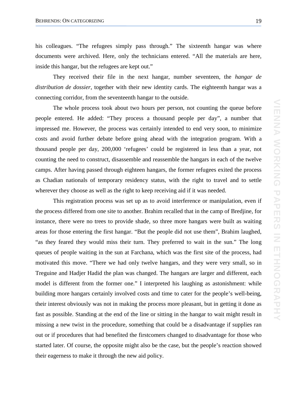his colleagues. "The refugees simply pass through." The sixteenth hangar was where documents were archived. Here, only the technicians entered. "All the materials are here, inside this hangar, but the refugees are kept out."

They received their file in the next hangar, number seventeen, the *hangar de distribution de dossier*, together with their new identity cards. The eighteenth hangar was a connecting corridor, from the seventeenth hangar to the outside.

The whole process took about two hours per person, not counting the queue before people entered. He added: "They process a thousand people per day", a number that impressed me. However, the process was certainly intended to end very soon, to minimize costs and avoid further debate before going ahead with the integration program. With a thousand people per day, 200,000 'refugees' could be registered in less than a year, not counting the need to construct, disassemble and reassemble the hangars in each of the twelve camps. After having passed through eighteen hangars, the former refugees exited the process as Chadian nationals of temporary residency status, with the right to travel and to settle wherever they choose as well as the right to keep receiving aid if it was needed.

This registration process was set up as to avoid interference or manipulation, even if the process differed from one site to another. Brahim recalled that in the camp of Bredjine, for instance, there were no trees to provide shade, so three more hangars were built as waiting areas for those entering the first hangar. "But the people did not use them", Brahim laughed, "as they feared they would miss their turn. They preferred to wait in the sun." The long queues of people waiting in the sun at Farchana, which was the first site of the process, had motivated this move. "There we had only twelve hangars, and they were very small, so in Treguine and Hadjer Hadid the plan was changed. The hangars are larger and different, each model is different from the former one." I interpreted his laughing as astonishment: while building more hangars certainly involved costs and time to cater for the people's well-being, their interest obviously was not in making the process more pleasant, but in getting it done as fast as possible. Standing at the end of the line or sitting in the hangar to wait might result in missing a new twist in the procedure, something that could be a disadvantage if supplies ran out or if procedures that had benefited the firstcomers changed to disadvantage for those who started later. Of course, the opposite might also be the case, but the people's reaction showed their eagerness to make it through the new aid policy.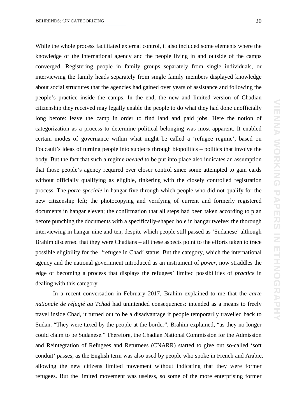While the whole process facilitated external control, it also included some elements where the knowledge of the international agency and the people living in and outside of the camps converged. Registering people in family groups separately from single individuals, or interviewing the family heads separately from single family members displayed knowledge about social structures that the agencies had gained over years of assistance and following the people's practice inside the camps. In the end, the new and limited version of Chadian citizenship they received may legally enable the people to do what they had done unofficially long before: leave the camp in order to find land and paid jobs. Here the notion of categorization as a process to determine political belonging was most apparent. It enabled certain modes of governance within what might be called a 'refugee regime', based on Foucault's ideas of turning people into subjects through biopolitics – politics that involve the body. But the fact that such a regime *needed* to be put into place also indicates an assumption that those people's agency required ever closer control since some attempted to gain cards without officially qualifying as eligible, tinkering with the closely controlled registration process. The *porte speciale* in hangar five through which people who did not qualify for the new citizenship left; the photocopying and verifying of current and formerly registered documents in hangar eleven; the confirmation that all steps had been taken according to plan before punching the documents with a specifically-shaped hole in hangar twelve; the thorough interviewing in hangar nine and ten, despite which people still passed as 'Sudanese' although Brahim discerned that they were Chadians – all these aspects point to the efforts taken to trace possible eligibility for the 'refugee in Chad' status. But the category, which the international agency and the national government introduced as an instrument of *power,* now straddles the edge of becoming a process that displays the refugees' limited possibilities of *practice* in dealing with this category.

In a recent conversation in February 2017, Brahim explained to me that the *carte nationale de réfugié au Tchad* had unintended consequences: intended as a means to freely travel inside Chad, it turned out to be a disadvantage if people temporarily travelled back to Sudan. "They were taxed by the people at the border", Brahim explained, "as they no longer could claim to be Sudanese." Therefore, the Chadian National Commission for the Admission and Reintegration of Refugees and Returnees (CNARR) started to give out so-called 'soft conduit' passes, as the English term was also used by people who spoke in French and Arabic, allowing the new citizens limited movement without indicating that they were former refugees. But the limited movement was useless, so some of the more enterprising former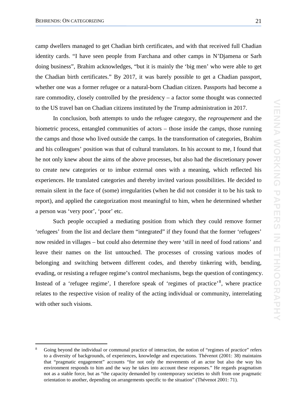camp dwellers managed to get Chadian birth certificates, and with that received full Chadian identity cards. "I have seen people from Farchana and other camps in N'Djamena or Sarh doing business", Brahim acknowledges, "but it is mainly the 'big men' who were able to get the Chadian birth certificates." By 2017, it was barely possible to get a Chadian passport, whether one was a former refugee or a natural-born Chadian citizen. Passports had become a rare commodity, closely controlled by the presidency – a factor some thought was connected to the US travel ban on Chadian citizens instituted by the Trump administration in 2017.

In conclusion, both attempts to undo the refugee category, the *regroupement* and the biometric process, entangled communities of actors – those inside the camps, those running the camps and those who lived outside the camps. In the transformation of categories, Brahim and his colleagues' position was that of cultural translators. In his account to me, I found that he not only knew about the aims of the above processes, but also had the discretionary power to create new categories or to imbue external ones with a meaning, which reflected his experiences. He translated categories and thereby invited various possibilities. He decided to remain silent in the face of (some) irregularities (when he did not consider it to be his task to report), and applied the categorization most meaningful to him, when he determined whether a person was 'very poor', 'poor' etc.

Such people occupied a mediating position from which they could remove former 'refugees' from the list and declare them "integrated" if they found that the former 'refugees' now resided in villages – but could also determine they were 'still in need of food rations' and leave their names on the list untouched. The processes of crossing various modes of belonging and switching between different codes, and thereby tinkering with, bending, evading, or resisting a refugee regime's control mechanisms, begs the question of contingency. Instead of a 'refugee regime', I therefore speak of 'regimes of practice'<sup>[8](#page-21-0)</sup>, where practice relates to the respective vision of reality of the acting individual or community, interrelating with other such visions.

<span id="page-21-0"></span> <sup>8</sup> Going beyond the individual or communal practice of interaction, the notion of "regimes of practice" refers to a diversity of backgrounds, of experiences, knowledge and expectations. Thévenot (2001: 38) maintains that "pragmatic engagement" accounts "for not only the movements of an actor but also the way his environment responds to him and the way he takes into account these responses." He regards pragmatism not as a stable force, but as "the capacity demanded by contemporary societies to shift from one pragmatic orientation to another, depending on arrangements specific to the situation" (Thévenot 2001: 71).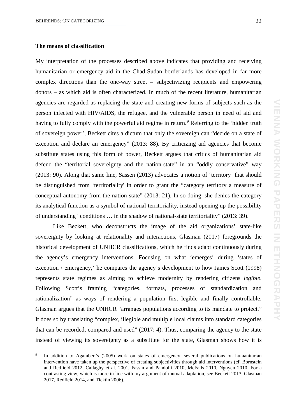#### **The means of classification**

My interpretation of the processes described above indicates that providing and receiving humanitarian or emergency aid in the Chad-Sudan borderlands has developed in far more complex directions than the one-way street – subjectivizing recipients and empowering donors – as which aid is often characterized. In much of the recent literature, humanitarian agencies are regarded as replacing the state and creating new forms of subjects such as the person infected with HIV/AIDS, the refugee, and the vulnerable person in need of aid and having to fully comply with the powerful aid regime in return.<sup>[9](#page-22-0)</sup> Referring to the 'hidden truth of sovereign power', Beckett cites a dictum that only the sovereign can "decide on a state of exception and declare an emergency" (2013: 88). By criticizing aid agencies that become substitute states using this form of power, Beckett argues that critics of humanitarian aid defend the "territorial sovereignty and the nation-state" in an "oddly conservative" way (2013: 90). Along that same line, Sassen (2013) advocates a notion of 'territory' that should be distinguished from 'territoriality' in order to grant the "category territory a measure of conceptual autonomy from the nation-state" (2013: 21). In so doing, she denies the category its analytical function as a symbol of national territoriality, instead opening up the possibility of understanding "conditions … in the shadow of national-state territoriality" (2013: 39).

Like Beckett, who deconstructs the image of the aid organizations' state-like sovereignty by looking at relationality and interactions, Glasman (2017) foregrounds the historical development of UNHCR classifications, which he finds adapt continuously during the agency's emergency interventions. Focusing on what 'emerges' during 'states of exception / emergency,' he compares the agency's development to how James Scott (1998) represents state regimes as aiming to achieve modernity by rendering citizens *legible*. Following Scott's framing "categories, formats, processes of standardization and rationalization" as ways of rendering a population first legible and finally controllable, Glasman argues that the UNHCR "arranges populations according to its mandate to protect." It does so by translating "complex, illegible and multiple local claims into standard categories that can be recorded, compared and used" (2017: 4). Thus, comparing the agency to the state instead of viewing its sovereignty as a substitute for the state, Glasman shows how it is

<span id="page-22-0"></span>In addition to Agamben's (2005) work on states of emergency, several publications on humanitarian intervention have taken up the perspective of creating subjectivities through aid interventions (cf. Bornstein and Redfield 2012, Callaghy et al. 2001, Fassin and Pandolfi 2010, McFalls 2010, Nguyen 2010. For a contrasting view, which is more in line with my argument of mutual adaptation, see Beckett 2013, Glasman 2017, Redfield 2014, and Ticktin 2006).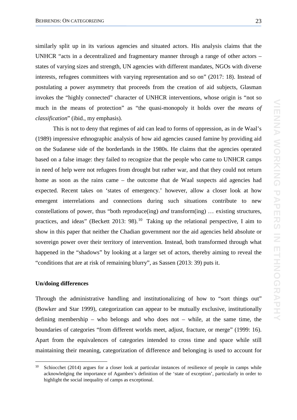similarly split up in its various agencies and situated actors. His analysis claims that the UNHCR "acts in a decentralized and fragmentary manner through a range of other actors – states of varying sizes and strength, UN agencies with different mandates, NGOs with diverse interests, refugees committees with varying representation and so on" (2017: 18). Instead of postulating a power asymmetry that proceeds from the creation of aid subjects, Glasman invokes the "highly connected" character of UNHCR interventions, whose origin is "not so much in the means of protection" as "the quasi-monopoly it holds over the *means of classification*" (ibid., my emphasis).

This is not to deny that regimes of aid can lead to forms of oppression, as in de Waal's (1989) impressive ethnographic analysis of how aid agencies caused famine by providing aid on the Sudanese side of the borderlands in the 1980s. He claims that the agencies operated based on a false image: they failed to recognize that the people who came to UNHCR camps in need of help were not refugees from drought but rather war, and that they could not return home as soon as the rains came – the outcome that de Waal suspects aid agencies had expected. Recent takes on 'states of emergency.' however, allow a closer look at how emergent interrelations and connections during such situations contribute to new constellations of power, thus "both reproduce(ing) *and* transform(ing) … existing structures, practices, and ideas" (Beckett 2013: 98).<sup>[10](#page-23-0)</sup> Taking up the relational perspective, I aim to show in this paper that neither the Chadian government nor the aid agencies held absolute or sovereign power over their territory of intervention. Instead, both transformed through what happened in the "shadows" by looking at a larger set of actors, thereby aiming to reveal the "conditions that are at risk of remaining blurry", as Sassen (2013: 39) puts it.

#### **Un/doing differences**

 $\overline{a}$ 

Through the administrative handling and institutionalizing of how to "sort things out" (Bowker and Star 1999), categorization can appear to be mutually exclusive, institutionally defining membership – who belongs and who does not – while, at the same time, the boundaries of categories "from different worlds meet, adjust, fracture, or merge" (1999: 16). Apart from the equivalences of categories intended to cross time and space while still maintaining their meaning, categorization of difference and belonging is used to account for

<span id="page-23-0"></span><sup>10</sup> Schiocchet (2014) argues for a closer look at particular instances of resilience of people in camps while acknowledging the importance of Agamben's definition of the 'state of exception', particularly in order to highlight the social inequality of camps as exceptional.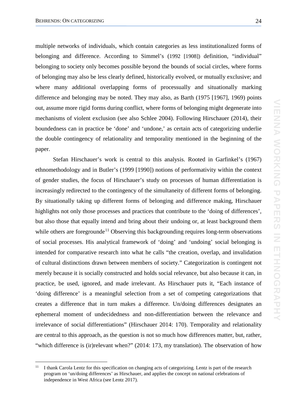multiple networks of individuals, which contain categories as less institutionalized forms of belonging and difference. According to Simmel's (1992 [1908]) definition, "individual" belonging to society only becomes possible beyond the bounds of social circles, where forms of belonging may also be less clearly defined, historically evolved, or mutually exclusive; and where many additional overlapping forms of processually and situationally marking difference and belonging may be noted. They may also, as Barth (1975 [1967], 1969) points out, assume more rigid forms during conflict, where forms of belonging might degenerate into mechanisms of violent exclusion (see also Schlee 2004). Following Hirschauer (2014), their boundedness can in practice be 'done' and 'undone,' as certain acts of categorizing underlie the double contingency of relationality and temporality mentioned in the beginning of the paper.

Stefan Hirschauer's work is central to this analysis. Rooted in Garfinkel's (1967) ethnomethodology and in Butler's (1999 [1990]) notions of performativity within the context of gender studies, the focus of Hirschauer's study on processes of human differentiation is increasingly redirected to the contingency of the simultaneity of different forms of belonging. By situationally taking up different forms of belonging and difference making, Hirschauer highlights not only those processes and practices that contribute to the 'doing of differences', but also those that equally intend and bring about their undoing or, at least background them while others are foregrounde<sup>[11](#page-24-0)</sup> Observing this backgrounding requires long-term observations of social processes. His analytical framework of 'doing' and 'undoing' social belonging is intended for comparative research into what he calls "the creation, overlap, and invalidation of cultural distinctions drawn between members of society." Categorization is contingent not merely because it is socially constructed and holds social relevance, but also because it can, in practice, be used, ignored, and made irrelevant. As Hirschauer puts it, "Each instance of 'doing difference' is a meaningful selection from a set of competing categorizations that creates a difference that in turn makes a difference. Un/doing differences designates an ephemeral moment of undecidedness and non-differentiation between the relevance and irrelevance of social differentiations" (Hirschauer 2014: 170). Temporality and relationality are central to this approach, as the question is not so much how differences matter, but, rather, "which difference is (ir)relevant when?" (2014: 173, my translation). The observation of how

<span id="page-24-0"></span><sup>&</sup>lt;sup>11</sup> I thank Carola Lentz for this specification on changing acts of categorizing. Lentz is part of the research program on 'un/doing differences' as Hirschauer, and applies the concept on national celebrations of independence in West Africa (see Lentz 2017).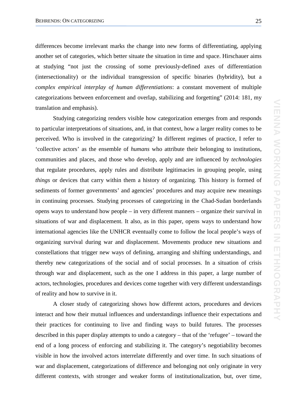differences become irrelevant marks the change into new forms of differentiating, applying another set of categories, which better situate the situation in time and space. Hirschauer aims at studying "not just the crossing of some previously-defined axes of differentiation (intersectionality) or the individual transgression of specific binaries (hybridity), but a *complex empirical interplay of human differentiations*: a constant movement of multiple categorizations between enforcement and overlap, stabilizing and forgetting" (2014: 181, my translation and emphasis).

Studying categorizing renders visible how categorization emerges from and responds to particular interpretations of situations, and, in that context, how a larger reality comes to be perceived. Who is involved in the categorizing? In different regimes of practice, I refer to 'collective actors' as the ensemble of *humans* who attribute their belonging to institutions, communities and places, and those who develop, apply and are influenced by *technologies* that regulate procedures, apply rules and distribute legitimacies in grouping people, using *things* or devices that carry within them a history of organizing. This history is formed of sediments of former governments' and agencies' procedures and may acquire new meanings in continuing processes. Studying processes of categorizing in the Chad-Sudan borderlands opens ways to understand how people – in very different manners – organize their survival in situations of war and displacement. It also, as in this paper, opens ways to understand how international agencies like the UNHCR eventually come to follow the local people's ways of organizing survival during war and displacement. Movements produce new situations and constellations that trigger new ways of defining, arranging and shifting understandings, and thereby new categorizations of the social and of social processes. In a situation of crisis through war and displacement, such as the one I address in this paper, a large number of actors, technologies, procedures and devices come together with very different understandings of reality and how to survive in it.

A closer study of categorizing shows how different actors, procedures and devices interact and how their mutual influences and understandings influence their expectations and their practices for continuing to live and finding ways to build futures. The processes described in this paper display attempts to undo a category – that of the 'refugee' – toward the end of a long process of enforcing and stabilizing it. The category's negotiability becomes visible in how the involved actors interrelate differently and over time. In such situations of war and displacement, categorizations of difference and belonging not only originate in very different contexts, with stronger and weaker forms of institutionalization, but, over time,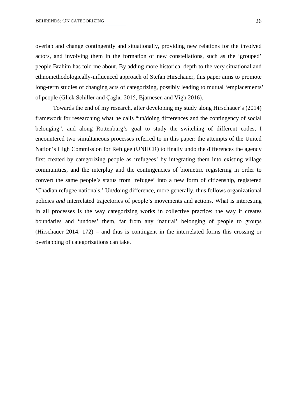overlap and change contingently and situationally, providing new relations for the involved actors, and involving them in the formation of new constellations, such as the 'grouped' people Brahim has told me about. By adding more historical depth to the very situational and ethnomethodologically-influenced approach of Stefan Hirschauer, this paper aims to promote long-term studies of changing acts of categorizing, possibly leading to mutual 'emplacements' of people (Glick Schiller and Çağlar 2015, Bjarnesen and Vigh 2016).

Towards the end of my research, after developing my study along Hirschauer's (2014) framework for researching what he calls "un/doing differences and the contingency of social belonging", and along Rottenburg's goal to study the switching of different codes, I encountered two simultaneous processes referred to in this paper: the attempts of the United Nation's High Commission for Refugee (UNHCR) to finally undo the differences the agency first created by categorizing people as 'refugees' by integrating them into existing village communities, and the interplay and the contingencies of biometric registering in order to convert the same people's status from 'refugee' into a new form of citizenship, registered 'Chadian refugee nationals.' Un/doing difference, more generally, thus follows organizational policies *and* interrelated trajectories of people's movements and actions. What is interesting in all processes is the way categorizing works in collective practice: the way it creates boundaries and 'undoes' them, far from any 'natural' belonging of people to groups (Hirschauer 2014: 172) – and thus is contingent in the interrelated forms this crossing or overlapping of categorizations can take.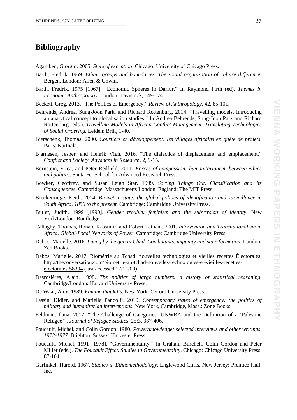## **Bibliography**

Agamben, Giorgio. 2005. *State of exception*. Chicago: University of Chicago Press.

- Barth, Fredrik. 1969. *Ethnic groups and boundaries. The social organization of culture difference.* Bergen, London: Allen & Unwin.
- Barth, Fredrik. 1975 [1967]. "Economic Spheres in Darfur." In Raymond Firth (ed). *Themes in Economic Anthropology*. London: Tavistock, 149-174.

Beckett, Greg. 2013. "The Politics of Emergency." *Review of Anthropology*, 42, 85-101.

- Behrends, Andrea, Sung-Joon Park, and Richard Rottenburg. 2014. "Travelling models. Introducing an analytical concept to globalisation studies." In Andrea Behrends, Sung-Joon Park and Richard Rottenburg (eds.). *Travelling Models in African Conflict Management. Translating Technologies of Social Ordering*. Leiden: Brill, 1-40.
- Bierschenk, Thomas. 2000. *Courtiers en développement: les villages africains en quête de projets*. Paris: Karthala.
- Bjarnesen, Jesper, and Henrik Vigh. 2016. "The dialectics of displacement and emplacement." *Conflict and Society. Advances in Research*, 2, 9-15.
- Bornstein, Erica, and Peter Redfield. 2011. *Forces of compassion: humanitarianism between ethics and politics*. Santa Fe: School for Advanced Research Press.
- Bowker, Geoffrey, and Susan Leigh Star. 1999. *Sorting Things Out. Classification and Its Consequences*. Cambridge, Massachusetts London, England: The MIT Press.
- Breckenridge, Keith. 2014. *Biometric state: the global politics of identification and surveillance in South Africa, 1850 to the present*. Cambridge: Cambridge University Press.
- Butler, Judith. 1999 [1990]. *Gender trouble: feminism and the subversion of identity*. New York/London: Routledge.
- Callaghy, Thomas, Ronald Kassimir, and Robert Latham. 2001. *Intervention and Transnationalism in Africa. Global-Local Networks of Power*. Cambridge: Cambridge University Press.
- Debos, Marielle. 2016. *Living by the gun in Chad. Combatants, impunity and state formation.* London: Zed Books.
- Debos, Marielle. 2017. Biométrie au Tchad: nouvelles technologies et vieilles recettes Électorales. [http://theconversation.com/biometrie-au-tchad-nouvelles-technologies-et-vieilles-recettes](http://theconversation.com/biometrie-au-tchad-nouvelles-technologies-et-vieilles-recettes-electorales-58394)[electorales-58394](http://theconversation.com/biometrie-au-tchad-nouvelles-technologies-et-vieilles-recettes-electorales-58394) (last accessed 17/11/09).
- Desrosières, Alain. 1998. *The politics of large numbers: a history of statistical reasoning*. Cambridge/London: Harvard University Press.
- De Waal, Alex. 1989. *Famine that kills*. New York: Oxford University Press.
- Fassin, Didier, and Mariella Pandolfi. 2010. *Contemporary states of emergency: the politics of military and humanitarian interventions*. New York, Cambridge, Mass.: Zone Books.
- Feldman, Ilana. 2012. "The Challenge of Categories: UNWRA and the Definition of a 'Palestine Refugee'". *Journal of Refugee Studies*, 25:3, 387-406.
- Foucault, Michel, and Colin Gordon. 1980. *Power/knowledge: selected interviews and other writings, 1972-1977*. Brighton, Sussex: Harvester Press.
- Foucault, Michel. 1991 [1978]. "Governmentality." In Graham Burchell, Colin Gordon and Peter Miller (eds.). *The Foucault Effect. Studies in Governmentality*. Chicago: Chicago University Press, 87-104.
- Garfinkel, Harold. 1967. *Studies in Ethnomethodology*. Englewood Cliffs, New Jersey: Prentice Hall, Inc.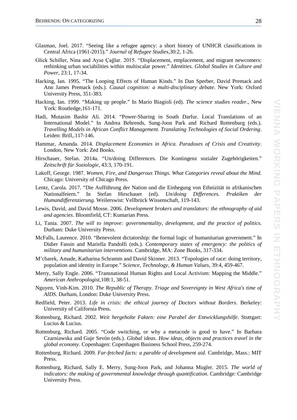- Glasman, Joel. 2017. "Seeing like a refugee agency: a short history of UNHCR classifications in Central Africa (1961-2015)." *Journal of Refugee Studies,*30:2, 1-26.
- Glick Schiller, Nina and Ayse Çağlar. 2015. "Displacement, emplacement, and migrant newcomers: rethinking urban sociabilities within multiscalar power." *Identities. Global Studies in Culture and Power*, 23:1, 17-34.
- Hacking, Ian. 1995. "The Looping Effects of Human Kinds." In Dan Sperber, David Premack and Ann James Premack (eds.). *Causal cognition: a multi-disciplinary debate*. New York: Oxford University Press, 351-383*.*
- Hacking, Ian. 1999. "Making up people." In Mario Biagioli (ed). *The science studies reader*., New York: Routledge,161-171.
- Hadi, Mutasim Bashir Ali. 2014. "Power-Sharing in South Darfur. Local Translations of an International Model." In Andrea Behrends, Sung-Joon Park and Richard Rottenburg (eds.). *Travelling Models in African Conflict Management. Translating Technologies of Social Ordering*. Leiden: Brill,.117-146.
- Hammar, Amanda. 2014. *Displacement Economies in Africa. Paradoxes of Crisis and Creativity*. London, New York: Zed Books.
- Hirschauer, Stefan. 2014a. "Un/doing Differences. Die Kontingenz sozialer Zugehörigkeiten." *Zeitschrift für Soziologie*, 43:3, 170-191.
- Lakoff, George. 1987. *Women, Fire, and Dangerous Things. What Categories reveal about the Mind*. Chicago: University of Chicago Press.
- Lentz, Carola. 2017. "Die Aufführung der Nation und die Einhegung von Ethnizität in afrikanischen Nationalfeiern." In Stefan Hirschauer (ed). *Un/doing Differences. Praktiken der Humandifferenzierung.* Weilerswist: Vellbrück Wissenschaft, 119-143.
- Lewis, David, and David Mosse. 2006. *Development brokers and translators: the ethnography of aid and agencies*. Bloomfield, CT: Kumarian Press.
- Li, Tania. 2007. *The will to improve: governmentality, development, and the practice of politics*. Durham: Duke University Press.
- McFalls, Laurence. 2010. "Benevolent dictatorship: the formal logic of humanitarian government." In Didier Fassin and Mariella Pandolfi (eds.). *Contemporary states of emergency: the politics of military and humanitarian interventions*. Cambridge, MA: Zone Books, 317-334.
- M'charek, Amade, Katharina Schramm and David Skinner. 2013. "Topologies of race: doing territory, population and identity in Europe." *Science, Technology, & Human Values*, 39:4, 459-467.
- Merry, Sally Engle. 2006. "Transnational Human Rights and Local Activism: Mapping the Middle." *American Anthropologist*,108:1, 38-51.
- Nguyen, Vinh-Kim. 2010. *The Republic of Therapy. Triage and Sovereignty in West Africa's time of AIDS*. Durham, London: Duke University Press.
- Redfield, Peter. 2013. *Life in crisis: the ethical journey of Doctors without Borders*. Berkeley: University of California Press.
- Rottenburg, Richard. 2002. *Weit hergeholte Fakten: eine Parabel der Entwicklungshilfe*. Stuttgart: Lucius & Lucius.
- Rottenburg, Richard. 2005. "Code switching, or why a metacode is good to have." In Barbara Czarniawska and Guje Sevón (eds.). *Global ideas. How ideas, objects and practices travel in the global economy*. Copenhagen: Copenhagen Business School Press, 259-274.
- Rottenburg, Richard. 2009. *Far-fetched facts: a parable of development aid*. Cambridge, Mass.: MIT Press.
- Rottenburg, Richard, Sally E. Merry, Sung-Joon Park, and Johanna Mugler. 2015. *The world of indicators: the making of governmental knowledge through quantification*. Cambridge: Cambridge University Press.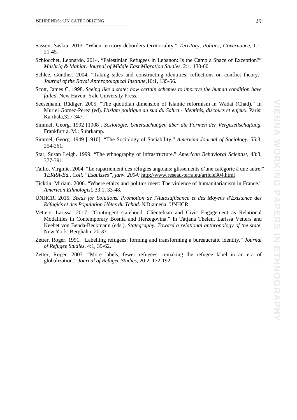- Sassen, Saskia. 2013. "When territory deborders territoriality." *Territory, Politics, Governance*, 1:1, 21-45.
- Schiocchet, Leonardo. 2014. "Palestinian Refugees in Lebanon: Is the Camp a Space of Exception?" *Mashriq & Mahjar. Journal of Middle East Migration Studies,* 2:1, 130-60.
- Schlee, Günther. 2004. "Taking sides and constructing identities: reflections on conflict theory." *Journal of the Royal Anthropological Institute*,10:1, 135-56.
- Scott, James C. 1998. *Seeing like a state: how certain schemes to improve the human condition have failed*. New Haven: Yale University Press.
- Seesemann, Rüdiger. 2005. "The quotidian dimension of Islamic reformism in Wadai (Chad)." In Muriel Gomez-Perez (ed). *L'islam politique au sud du Sahra - Identités, discours et enjeux*. Paris: Karthala,327-347.
- Simmel, Georg. 1992 [1908]. *Soziologie. Untersuchungen über die Formen der Vergesellschaftung*. Frankfurt a. M.: Suhrkamp.
- Simmel, Georg. 1949 [1910]. "The Sociology of Sociability." *American Journal of Sociology*, 55:3, 254-261.
- Star, Susan Leigh. 1999. "The ethnography of infrastructure." *American Behavioral Scientist*, 43:3, 377-391.
- Tallio, Virginie. 2004. "Le rapatriement des réfugiés angolais: glissements d'une catégorie à une autre." *TERRA-Ed., Coll. "Esquisses", janv. 2004:* <http://www.reseau-terra.eu/article304.html>
- Ticktin, Miriam. 2006. "Where ethics and politics meet: The violence of humanitarianism in France." *American Ethnologist*, 33:1, 33-48.
- UNHCR. 2015. *Seeds for Solutions. Promotion de l'Autosuffisance et des Moyens d'Existence des Réfugiés et des Population Hôtes du Tchad*. N'Djamena: UNHCR.
- Vetters, Larissa. 2017. "Contingent statehood. Clientelism and Civic Engagement as Relational Modalities in Contemporary Bosnia and Herzegovina." In Tatjana Thelen, Larissa Vetters and Keebet von Benda-Beckmann (eds.). *Stategraphy. Toward a relational anthropology of the state.* New York: Berghahn, 20-37.
- Zetter, Roger. 1991. "Labelling refugees: forming and transforming a bureaucratic identity." *Journal of Refugee Studies*, 4:1, 39-62.
- Zetter, Roger. 2007. "More labels, fewer refugees: remaking the refugee label in an era of globalization." *Journal of Refugee Studies*, 20:2, 172-192.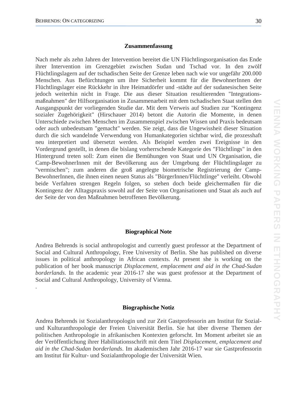.

#### **Zusammenfassung**

Nach mehr als zehn Jahren der Intervention bereitet die UN Flüchtlingsorganisation das Ende ihrer Intervention im Grenzgebiet zwischen Sudan und Tschad vor. In den zwölf Flüchtlingslagern auf der tschadischen Seite der Grenze leben nach wie vor ungefähr 200.000 Menschen. Aus Befürchtungen um ihre Sicherheit kommt für die BewohnerInnen der Flüchtlingslager eine Rückkehr in ihre Heimatdörfer und -städte auf der sudanesischen Seite jedoch weiterhin nicht in Frage. Die aus dieser Situation resultierenden "Integrationsmaßnahmen" der Hilfsorganisation in Zusammenarbeit mit dem tschadischen Staat stellen den Ausgangspunkt der vorliegenden Studie dar. Mit dem Verweis auf Studien zur "Kontingenz sozialer Zugehörigkeit" (Hirschauer 2014) betont die Autorin die Momente, in denen Unterschiede zwischen Menschen im Zusammenspiel zwischen Wissen und Praxis bedeutsam oder auch unbedeutsam "gemacht" werden. Sie zeigt, dass die Ungewissheit dieser Situation durch die sich wandelnde Verwendung von Humankategorien sichtbar wird, die prozesshaft neu interpretiert und übersetzt werden. Als Beispiel werden zwei Ereignisse in den Vordergrund gestellt, in denen die bislang vorherrschende Kategorie des "Flüchtlings" in den Hintergrund treten soll: Zum einen die Bemühungen von Staat und UN Organisation, die Camp-BewohnerInnen mit der Bevölkerung aus der Umgebung der Flüchtlingslager zu "vermischen"; zum anderen die groß angelegte biometrische Registrierung der Camp-BewohnerInnen, die ihnen einen neuen Status als "BürgerInnen/Flüchtlinge" verleiht. Obwohl beide Verfahren strengen Regeln folgen, so stehen doch beide gleichermaßen für die Kontingenz der Alltagspraxis sowohl auf der Seite von Organisationen und Staat als auch auf der Seite der von den Maßnahmen betroffenen Bevölkerung.

#### **Biographical Note**

Andrea Behrends is social anthropologist and currently guest professor at the Department of Social and Cultural Anthropology, Free University of Berlin. She has published on diverse issues in political anthropology in African contexts. At present she is working on the publication of her book manuscript *Displacement, emplacement and aid in the Chad-Sudan borderlands*. In the academic year 2016-17 she was guest professor at the Department of Social and Cultural Anthropology, University of Vienna.

#### **Biographische Notiz**

Andrea Behrends ist Sozialanthropologin und zur Zeit Gastprofessorin am Institut für Sozialund Kulturanthropologie der Freien Universität Berlin. Sie hat über diverse Themen der politischen Anthropologie in afrikanischen Kontexten geforscht. Im Moment arbeitet sie an der Veröffentlichung ihrer Habilitationsschrift mit dem Titel *Displacement, emplacement and aid in the Chad-Sudan borderlands*. Im akademischen Jahr 2016-17 war sie Gastprofessorin am Institut für Kultur- und Sozialanthropologie der Universität Wien.